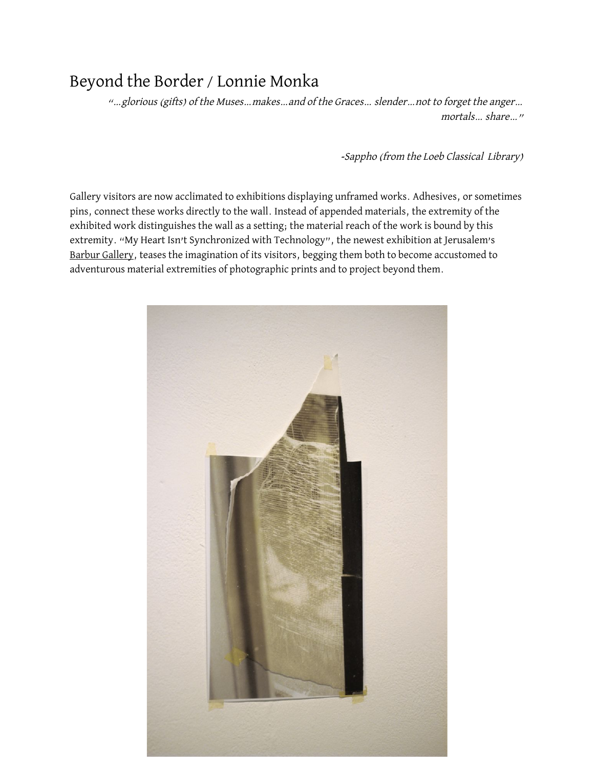## Beyond the Border / Lonnie Monka

"…glorious (gifts) of the Muses…makes…and of the Graces… slender…not to forget the anger… mortals… share…"

-Sappho (from the Loeb Classical Library)

Gallery visitors are now acclimated to exhibitions displaying unframed works. Adhesives, or sometimes pins, connect these works directly to the wall. Instead of appended materials, the extremity of the exhibited work distinguishes the wall as a setting; the material reach of the work is bound by this extremity. "My Heart Isn't Synchronized with Technology", the newest exhibition at Jerusalem's Barbur [Gallery,](http://barbur.org/) teases the imagination of its visitors, begging them both to become accustomed to adventurous material extremities of photographic prints and to project beyond them.

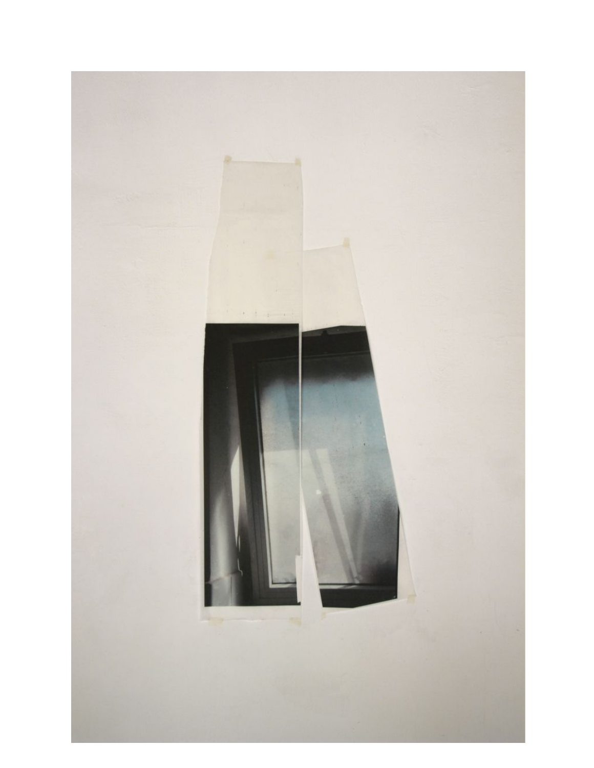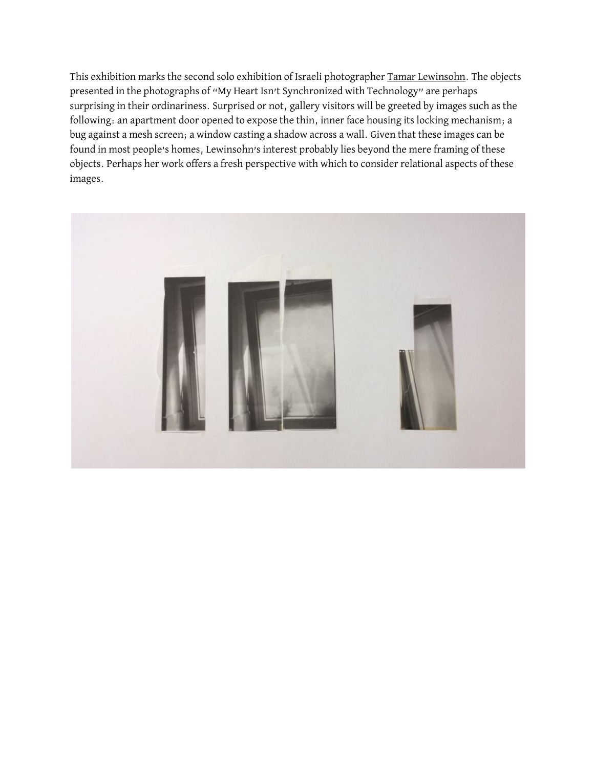This exhibition marks the second solo exhibition of Israeli photographer Tamar [Lewinsohn.](https://www.tamarlewinsohn.com/) The objects presented in the photographs of "My Heart Isn't Synchronized with Technology" are perhaps surprising in their ordinariness. Surprised or not, gallery visitors will be greeted by images such as the following: an apartment door opened to expose the thin, inner face housing its locking mechanism; a bug against a mesh screen; a window casting a shadow across a wall. Given that these images can be found in most people's homes, Lewinsohn's interest probably lies beyond the mere framing of these objects. Perhaps her work offers a fresh perspective with which to consider relational aspects of these images.

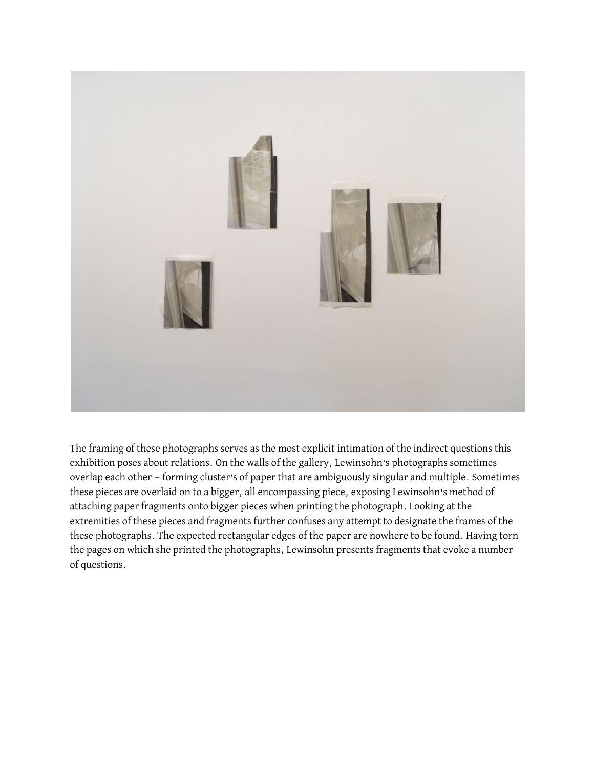

The framing of these photographs serves as the most explicit intimation of the indirect questions this exhibition poses about relations. On the walls of the gallery, Lewinsohn's photographs sometimes overlap each other — forming cluster's of paper that are ambiguously singular and multiple. Sometimes these pieces are overlaid on to a bigger, all encompassing piece, exposing Lewinsohn's method of attaching paper fragments onto bigger pieces when printing the photograph. Looking at the extremities of these pieces and fragments further confuses any attempt to designate the frames of the these photographs. The expected rectangular edges of the paper are nowhere to be found. Having torn the pages on which she printed the photographs, Lewinsohn presents fragments that evoke a number of questions.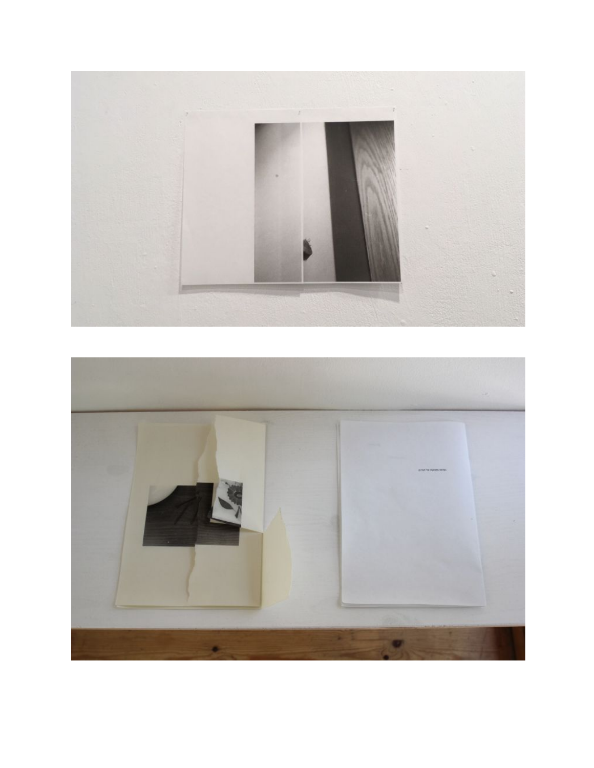